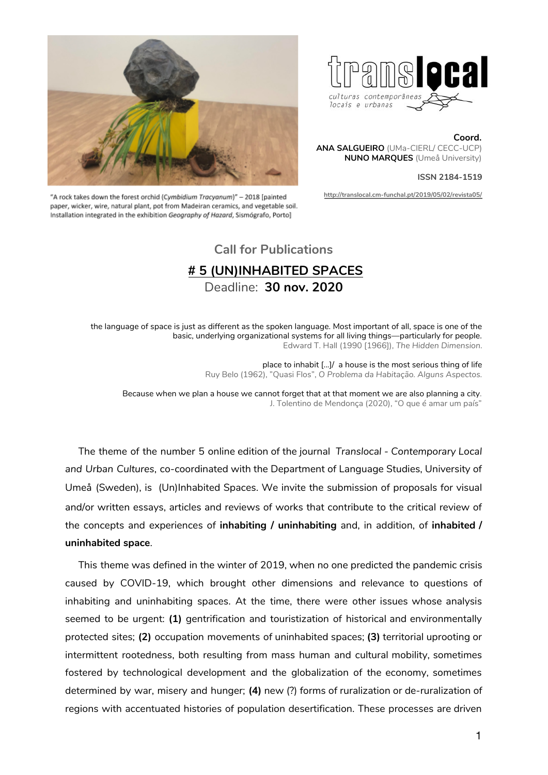



**Coord. ANA SALGUEIRO** (UMa-CIERL/ CECC-UCP) **NUNO MARQUES** (Umeå University)

#### **ISSN 2184-1519**

**<http://translocal.cm-funchal.pt/2019/05/02/revista05/>**

"A rock takes down the forest orchid (Cymbidium Tracyanum)" - 2018 [painted paper, wicker, wire, natural plant, pot from Madeiran ceramics, and vegetable soil. Installation integrated in the exhibition Geography of Hazard, Sismógrafo, Porto]

# **Call for Publications # 5 (UN)INHABITED SPACES** Deadline: **30 nov. 2020**

the language of space is just as different as the spoken language. Most important of all, space is one of the basic, underlying organizational systems for all living things—particularly for people. Edward T. Hall (1990 [1966]), *The Hidden Dimension*.

> place to inhabit [...]/ a house is the most serious thing of life Ruy Belo (1962), "Quasi Flos", *O Problema da Habitação. Alguns Aspectos.*

Because when we plan a house we cannot forget that at that moment we are also planning a city. J. Tolentino de Mendonça (2020), "O que é amar um país"

The theme of the number 5 online edition of the journal *Translocal - Contemporary Local and Urban Cultures*, co-coordinated with the Department of Language Studies, University of Umeå (Sweden), is (Un)Inhabited Spaces. We invite the submission of proposals for visual and/or written essays, articles and reviews of works that contribute to the critical review of the concepts and experiences of **inhabiting / uninhabiting** and, in addition, of **inhabited / uninhabited space**.

This theme was defined in the winter of 2019, when no one predicted the pandemic crisis caused by COVID-19, which brought other dimensions and relevance to questions of inhabiting and uninhabiting spaces. At the time, there were other issues whose analysis seemed to be urgent: **(1)** gentrification and touristization of historical and environmentally protected sites; **(2)** occupation movements of uninhabited spaces; **(3)** territorial uprooting or intermittent rootedness, both resulting from mass human and cultural mobility, sometimes fostered by technological development and the globalization of the economy, sometimes determined by war, misery and hunger; **(4)** new (?) forms of ruralization or de-ruralization of regions with accentuated histories of population desertification. These processes are driven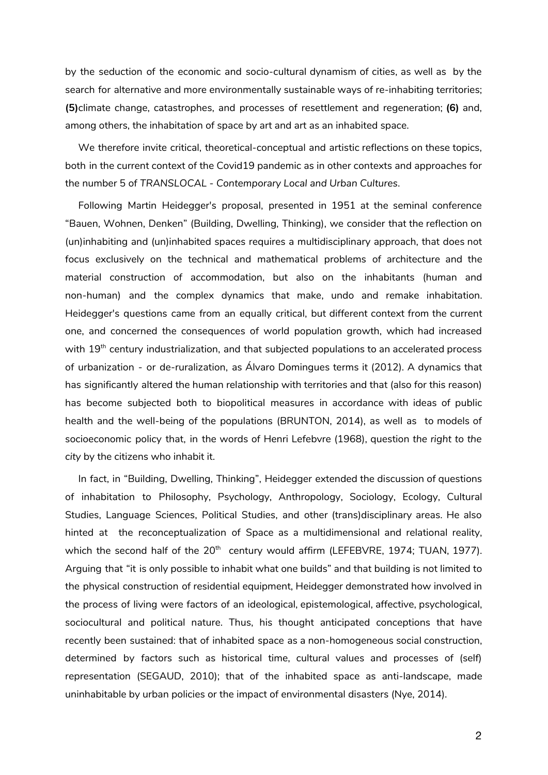by the seduction of the economic and socio-cultural dynamism of cities, as well as by the search for alternative and more environmentally sustainable ways of re-inhabiting territories; **(5)**climate change, catastrophes, and processes of resettlement and regeneration; **(6)** and, among others, the inhabitation of space by art and art as an inhabited space.

We therefore invite critical, theoretical-conceptual and artistic reflections on these topics, both in the current context of the Covid19 pandemic as in other contexts and approaches for the number 5 of *TRANSLOCAL - Contemporary Local and Urban Cultures*.

Following Martin Heidegger's proposal, presented in 1951 at the seminal conference "Bauen, Wohnen, Denken" (Building, Dwelling, Thinking), we consider that the reflection on (un)inhabiting and (un)inhabited spaces requires a multidisciplinary approach, that does not focus exclusively on the technical and mathematical problems of architecture and the material construction of accommodation, but also on the inhabitants (human and non-human) and the complex dynamics that make, undo and remake inhabitation. Heidegger's questions came from an equally critical, but different context from the current one, and concerned the consequences of world population growth, which had increased with  $19^{\text{th}}$  century industrialization, and that subjected populations to an accelerated process of urbanization - or de-ruralization, as Álvaro Domingues terms it (2012). A dynamics that has significantly altered the human relationship with territories and that (also for this reason) has become subjected both to biopolitical measures in accordance with ideas of public health and the well-being of the populations (BRUNTON, 2014), as well as to models of socioeconomic policy that, in the words of Henri Lefebvre (1968), question *the right to the city* by the citizens who inhabit it.

In fact, in "Building, Dwelling, Thinking", Heidegger extended the discussion of questions of inhabitation to Philosophy, Psychology, Anthropology, Sociology, Ecology, Cultural Studies, Language Sciences, Political Studies, and other (trans)disciplinary areas. He also hinted at the reconceptualization of Space as a multidimensional and relational reality, which the second half of the 20<sup>th</sup> century would affirm (LEFEBVRE, 1974; TUAN, 1977). Arguing that "it is only possible to inhabit what one builds" and that building is not limited to the physical construction of residential equipment, Heidegger demonstrated how involved in the process of living were factors of an ideological, epistemological, affective, psychological, sociocultural and political nature. Thus, his thought anticipated conceptions that have recently been sustained: that of inhabited space as a non-homogeneous social construction, determined by factors such as historical time, cultural values and processes of (self) representation (SEGAUD, 2010); that of the inhabited space as anti-landscape, made uninhabitable by urban policies or the impact of environmental disasters (Nye, 2014).

2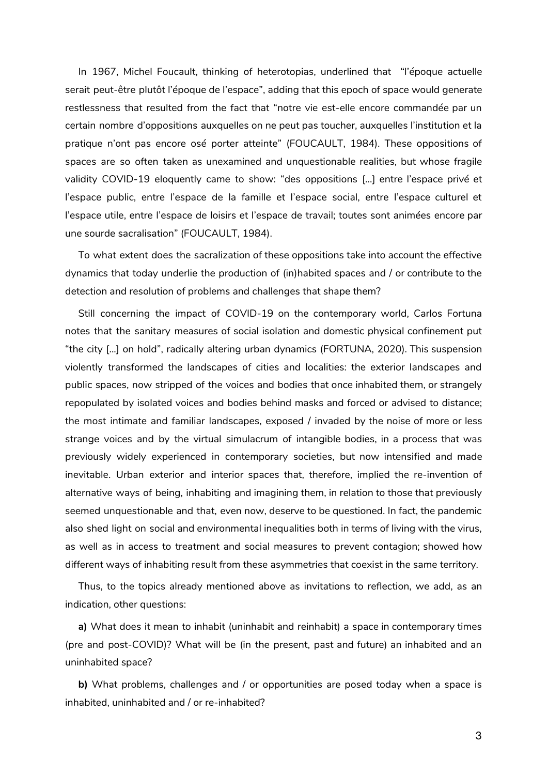In 1967, Michel Foucault, thinking of heterotopias, underlined that "l'époque actuelle serait peut-être plutôt l'époque de l'espace", adding that this epoch of space would generate restlessness that resulted from the fact that "notre vie est-elle encore commandée par un certain nombre d'oppositions auxquelles on ne peut pas toucher, auxquelles l'institution et la pratique n'ont pas encore osé porter atteinte" (FOUCAULT, 1984). These oppositions of spaces are so often taken as unexamined and unquestionable realities, but whose fragile validity COVID-19 eloquently came to show: "des oppositions [...] entre l'espace privé et l'espace public, entre l'espace de la famille et l'espace social, entre l'espace culturel et l'espace utile, entre l'espace de loisirs et l'espace de travail; toutes sont animées encore par une sourde sacralisation" (FOUCAULT, 1984).

To what extent does the sacralization of these oppositions take into account the effective dynamics that today underlie the production of (in)habited spaces and / or contribute to the detection and resolution of problems and challenges that shape them?

Still concerning the impact of COVID-19 on the contemporary world, Carlos Fortuna notes that the sanitary measures of social isolation and domestic physical confinement put "the city [...] on hold", radically altering urban dynamics (FORTUNA, 2020). This suspension violently transformed the landscapes of cities and localities: the exterior landscapes and public spaces, now stripped of the voices and bodies that once inhabited them, or strangely repopulated by isolated voices and bodies behind masks and forced or advised to distance; the most intimate and familiar landscapes, exposed / invaded by the noise of more or less strange voices and by the virtual simulacrum of intangible bodies, in a process that was previously widely experienced in contemporary societies, but now intensified and made inevitable. Urban exterior and interior spaces that, therefore, implied the re-invention of alternative ways of being, inhabiting and imagining them, in relation to those that previously seemed unquestionable and that, even now, deserve to be questioned. In fact, the pandemic also shed light on social and environmental inequalities both in terms of living with the virus, as well as in access to treatment and social measures to prevent contagion; showed how different ways of inhabiting result from these asymmetries that coexist in the same territory.

Thus, to the topics already mentioned above as invitations to reflection, we add, as an indication, other questions:

**a)** What does it mean to inhabit (uninhabit and reinhabit) a space in contemporary times (pre and post-COVID)? What will be (in the present, past and future) an inhabited and an uninhabited space?

**b)** What problems, challenges and / or opportunities are posed today when a space is inhabited, uninhabited and / or re-inhabited?

3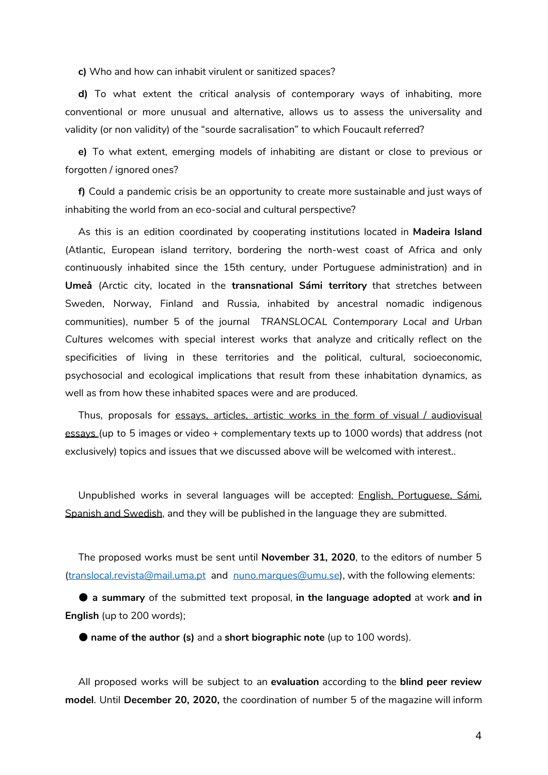**c)** Who and how can inhabit virulent or sanitized spaces?

**d)** To what extent the critical analysis of contemporary ways of inhabiting, more conventional or more unusual and alternative, allows us to assess the universality and validity (or non validity) of the "sourde sacralisation" to which Foucault referred?

**e)** To what extent, emerging models of inhabiting are distant or close to previous or forgotten / ignored ones?

**f)** Could a pandemic crisis be an opportunity to create more sustainable and just ways of inhabiting the world from an eco-social and cultural perspective?

As this is an edition coordinated by cooperating institutions located in **Madeira Island** (Atlantic, European island territory, bordering the north-west coast of Africa and only continuously inhabited since the 15th century, under Portuguese administration) and in **Umeå** (Arctic city, located in the **transnational Sámi territory** that stretches between Sweden, Norway, Finland and Russia, inhabited by ancestral nomadic indigenous communities), number 5 of the journal *TRANSLOCAL Contemporary Local and Urban Cultures* welcomes with special interest works that analyze and critically reflect on the specificities of living in these territories and the political, cultural, socioeconomic, psychosocial and ecological implications that result from these inhabitation dynamics, as well as from how these inhabited spaces were and are produced.

Thus, proposals for essays, articles, artistic works in the form of visual / audiovisual essays (up to 5 images or video + complementary texts up to 1000 words) that address (not exclusively) topics and issues that we discussed above will be welcomed with interest..

Unpublished works in several languages will be accepted: English, Portuguese, Sámi, Spanish and Swedish, and they will be published in the language they are submitted.

The proposed works must be sent until **November 31, 2020**, to the editors of number 5 [\(translocal.revista@mail.uma.pt](mailto:translocal.revista@mail.uma.pt) and [nuno.marques@umu.se](mailto:nuno.marques@umu.se)), with the following elements:

● **a summary** of the submitted text proposal, **in the language adopted** at work **and in English** (up to 200 words);

● **name of the author (s)** and a **short biographic note** (up to 100 words).

All proposed works will be subject to an **evaluation** according to the **blind peer review model**. Until **December 20, 2020,** the coordination of number 5 of the magazine will inform